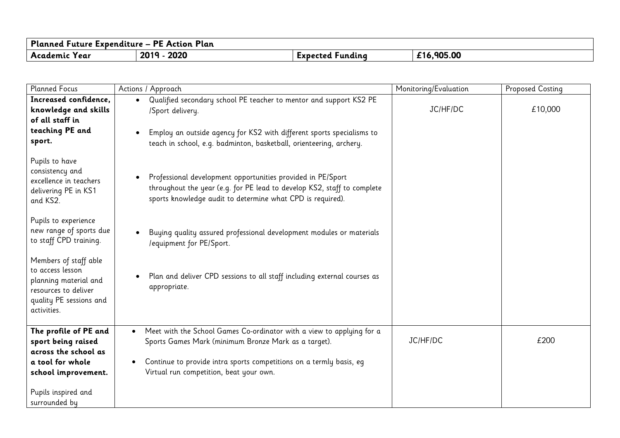| Planned Future Expenditure – I<br>Plan<br><b>PE</b><br><b>Action</b> 1 |      |          |         |
|------------------------------------------------------------------------|------|----------|---------|
| Academic                                                               | 2020 | tundina  | .905.00 |
| 'Y ear                                                                 | 2019 | Expected | £16.    |

| <b>Planned Focus</b>                                                                                                                  | Actions / Approach                                                                                                                                                                                                                                               | Monitoring/Evaluation | <b>Proposed Costing</b> |
|---------------------------------------------------------------------------------------------------------------------------------------|------------------------------------------------------------------------------------------------------------------------------------------------------------------------------------------------------------------------------------------------------------------|-----------------------|-------------------------|
| Increased confidence,<br>knowledge and skills<br>of all staff in<br>teaching PE and<br>sport.                                         | Qualified secondary school PE teacher to mentor and support KS2 PE<br>$\bullet$<br>/Sport delivery.<br>Employ an outside agency for KS2 with different sports specialisms to<br>$\bullet$<br>teach in school, e.g. badminton, basketball, orienteering, archery. | JC/HF/DC              | £10,000                 |
| Pupils to have<br>consistency and<br>excellence in teachers<br>delivering PE in KS1<br>and KS2.                                       | Professional development opportunities provided in PE/Sport<br>$\bullet$<br>throughout the year (e.g. for PE lead to develop KS2, staff to complete<br>sports knowledge audit to determine what CPD is required).                                                |                       |                         |
| Pupils to experience<br>new range of sports due<br>to staff CPD training.                                                             | Buying quality assured professional development modules or materials<br>/equipment for PE/Sport.                                                                                                                                                                 |                       |                         |
| Members of staff able<br>to access lesson<br>planning material and<br>resources to deliver<br>quality PE sessions and<br>activities.  | Plan and deliver CPD sessions to all staff including external courses as<br>appropriate.                                                                                                                                                                         |                       |                         |
| The profile of PE and<br>sport being raised<br>across the school as<br>a tool for whole<br>school improvement.<br>Pupils inspired and | Meet with the School Games Co-ordinator with a view to applying for a<br>$\bullet$<br>Sports Games Mark (minimum Bronze Mark as a target).<br>Continue to provide intra sports competitions on a termly basis, eq<br>Virtual run competition, beat your own.     | JC/HF/DC              | £200                    |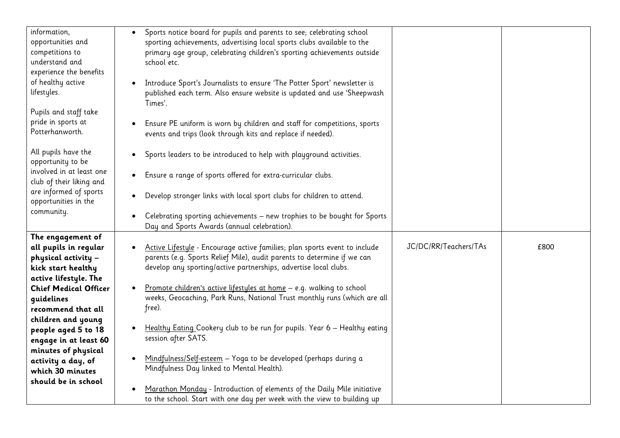| information,                 | Sports notice board for pupils and parents to see; celebrating school                 |                       |      |
|------------------------------|---------------------------------------------------------------------------------------|-----------------------|------|
| opportunities and            | sporting achievements, advertising local sports clubs available to the                |                       |      |
| competitions to              | primary age group, celebrating children's sporting achievements outside               |                       |      |
| understand and               | school etc.                                                                           |                       |      |
| experience the benefits      |                                                                                       |                       |      |
| of healthy active            | Introduce Sport's Journalists to ensure 'The Potter Sport' newsletter is              |                       |      |
| lifestyles.                  | published each term. Also ensure website is updated and use 'Sheepwash                |                       |      |
|                              | Times'.                                                                               |                       |      |
| Pupils and staff take        |                                                                                       |                       |      |
| pride in sports at           | Ensure PE uniform is worn by children and staff for competitions, sports              |                       |      |
| Potterhanworth.              | events and trips (look through kits and replace if needed).                           |                       |      |
|                              |                                                                                       |                       |      |
| All pupils have the          |                                                                                       |                       |      |
| opportunity to be            | Sports leaders to be introduced to help with playground activities.<br>٠              |                       |      |
| involved in at least one     |                                                                                       |                       |      |
| club of their liking and     | Ensure a range of sports offered for extra-curricular clubs.<br>$\bullet$             |                       |      |
|                              |                                                                                       |                       |      |
| are informed of sports       | Develop stronger links with local sport clubs for children to attend.<br>$\bullet$    |                       |      |
| opportunities in the         |                                                                                       |                       |      |
| community.                   | Celebrating sporting achievements - new trophies to be bought for Sports<br>$\bullet$ |                       |      |
|                              | Day and Sports Awards (annual celebration).                                           |                       |      |
| The engagement of            |                                                                                       |                       |      |
| all pupils in regular        | Active Lifestyle - Encourage active families; plan sports event to include            | JC/DC/RR/Teachers/TAs | £800 |
| physical activity -          | parents (e.g. Sports Relief Mile), audit parents to determine if we can               |                       |      |
| kick start healthy           | develop any sporting/active partnerships, advertise local clubs.                      |                       |      |
| active lifestyle. The        |                                                                                       |                       |      |
| <b>Chief Medical Officer</b> | Promote children's active lifestyles at home - e.g. walking to school                 |                       |      |
|                              | weeks, Geocaching, Park Runs, National Trust monthly runs (which are all              |                       |      |
| quidelines                   | free).                                                                                |                       |      |
| recommend that all           |                                                                                       |                       |      |
| children and young           |                                                                                       |                       |      |
| people aged 5 to 18          | Healthy Eating Cookery club to be run for pupils. Year 6 - Healthy eating<br>٠        |                       |      |
| engage in at least 60        | session after SATS.                                                                   |                       |      |
| minutes of physical          |                                                                                       |                       |      |
| activity a day, of           | Mindfulness/Self-esteem - Yoga to be developed (perhaps during a<br>$\bullet$         |                       |      |
| which 30 minutes             | Mindfulness Day linked to Mental Health).                                             |                       |      |
| should be in school          |                                                                                       |                       |      |
|                              | Marathon Monday - Introduction of elements of the Daily Mile initiative               |                       |      |
|                              | to the school. Start with one day per week with the view to building up               |                       |      |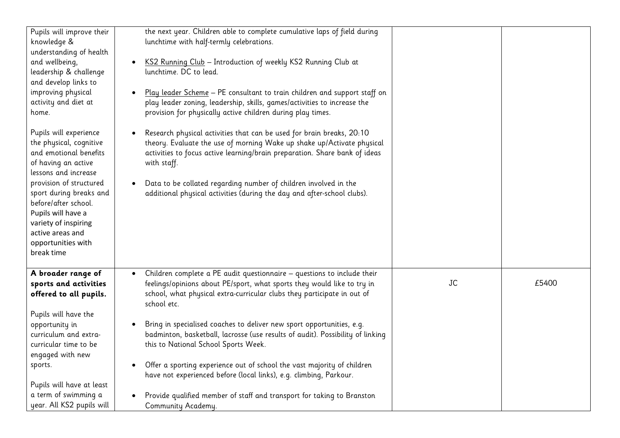| Pupils will improve their<br>knowledge &<br>understanding of health<br>and wellbeing,<br>leadership & challenge<br>and develop links to<br>improving physical<br>activity and diet at<br>home.<br>Pupils will experience<br>the physical, cognitive<br>and emotional benefits<br>of having an active<br>lessons and increase<br>provision of structured<br>sport during breaks and<br>before/after school.<br>Pupils will have a<br>variety of inspiring<br>active areas and<br>opportunities with<br>break time | the next year. Children able to complete cumulative laps of field during<br>lunchtime with half-termly celebrations.<br>KS2 Running Club - Introduction of weekly KS2 Running Club at<br>lunchtime. DC to lead.<br>Play leader Scheme - PE consultant to train children and support staff on<br>play leader zoning, leadership, skills, games/activities to increase the<br>provision for physically active children during play times.<br>Research physical activities that can be used for brain breaks, 20:10<br>theory. Evaluate the use of morning Wake up shake up/Activate physical<br>activities to focus active learning/brain preparation. Share bank of ideas<br>with staff.<br>Data to be collated regarding number of children involved in the<br>$\bullet$<br>additional physical activities (during the day and after-school clubs). |           |       |
|------------------------------------------------------------------------------------------------------------------------------------------------------------------------------------------------------------------------------------------------------------------------------------------------------------------------------------------------------------------------------------------------------------------------------------------------------------------------------------------------------------------|-----------------------------------------------------------------------------------------------------------------------------------------------------------------------------------------------------------------------------------------------------------------------------------------------------------------------------------------------------------------------------------------------------------------------------------------------------------------------------------------------------------------------------------------------------------------------------------------------------------------------------------------------------------------------------------------------------------------------------------------------------------------------------------------------------------------------------------------------------|-----------|-------|
| A broader range of<br>sports and activities<br>offered to all pupils.<br>Pupils will have the<br>opportunity in<br>curriculum and extra-<br>curricular time to be<br>engaged with new<br>sports.<br>Pupils will have at least<br>a term of swimming a<br>year. All KS2 pupils will                                                                                                                                                                                                                               | Children complete a PE audit questionnaire - questions to include their<br>$\bullet$<br>feelings/opinions about PE/sport, what sports they would like to try in<br>school, what physical extra-curricular clubs they participate in out of<br>school etc.<br>Bring in specialised coaches to deliver new sport opportunities, e.g.<br>badminton, basketball, lacrosse (use results of audit). Possibility of linking<br>this to National School Sports Week.<br>Offer a sporting experience out of school the vast majority of children<br>have not experienced before (local links), e.g. climbing, Parkour.<br>Provide qualified member of staff and transport for taking to Branston<br>Community Academy.                                                                                                                                       | <b>JC</b> | £5400 |